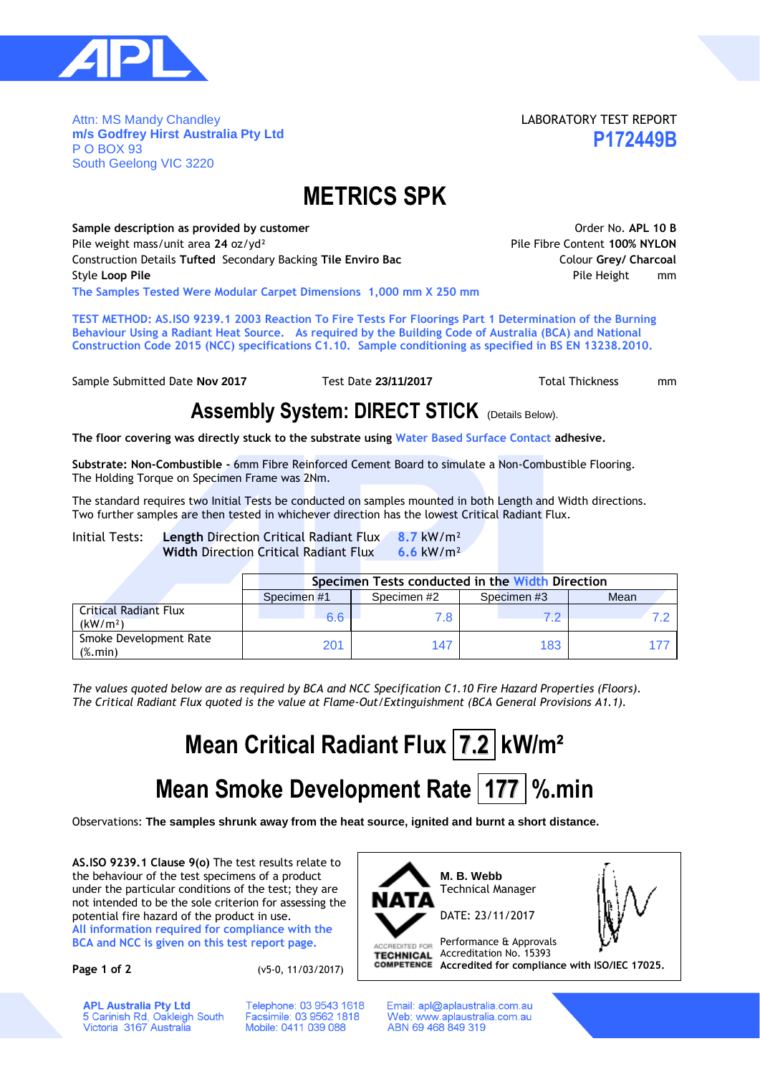

Attn: MS Mandy Chandley **m/s Godfrey Hirst Australia Pty Ltd** P O BOX 93 South Geelong VIC 3220

LABORATORY TEST REPORT **P172449B**

## **METRICS SPK**

Sample description as provided by customer **ACC COVID-10 B** And Covid-10 B Order No. APL 10 B Pile weight mass/unit area **24** oz/yd² Pile Fibre Content **100% NYLON** Construction Details **Tufted** Secondary Backing **Tile Enviro Bac** Colour **Grey/ Charcoal Style Loop Pile Pile Height mm The Samples Tested Were Modular Carpet Dimensions 1,000 mm X 250 mm**

**TEST METHOD: AS.ISO 9239.1 2003 Reaction To Fire Tests For Floorings Part 1 Determination of the Burning Behaviour Using a Radiant Heat Source. As required by the Building Code of Australia (BCA) and National Construction Code 2015 (NCC) specifications C1.10. Sample conditioning as specified in BS EN 13238.2010.**

Sample Submitted Date **Nov 2017** Test Date 23/11/2017 Total Thickness mm

### **Assembly System: DIRECT STICK** (Details Below).

**The floor covering was directly stuck to the substrate using Water Based Surface Contact adhesive.**

**Substrate: Non-Combustible -** 6mm Fibre Reinforced Cement Board to simulate a Non-Combustible Flooring. The Holding Torque on Specimen Frame was 2Nm.

The standard requires two Initial Tests be conducted on samples mounted in both Length and Width directions. Two further samples are then tested in whichever direction has the lowest Critical Radiant Flux.

Initial Tests: **Length** Direction Critical Radiant Flux **8.7** kW/m² **Width** Direction Critical Radiant Flux **6.6** kW/m²

|                                                          | Specimen Tests conducted in the Width Direction |            |            |      |  |  |  |  |  |  |
|----------------------------------------------------------|-------------------------------------------------|------------|------------|------|--|--|--|--|--|--|
|                                                          | Specimen#1                                      | Specimen#2 | Specimen#3 | Mean |  |  |  |  |  |  |
| <b>Critical Radiant Flux</b><br>(kW/m <sup>2</sup> )     | 6.6                                             | 7.8        |            |      |  |  |  |  |  |  |
| Smoke Development Rate<br>$(% \mathcal{L}_{0})$ (%. min) | 201                                             | 147        | 183        |      |  |  |  |  |  |  |

*The values quoted below are as required by BCA and NCC Specification C1.10 Fire Hazard Properties (Floors). The Critical Radiant Flux quoted is the value at Flame-Out/Extinguishment (BCA General Provisions A1.1).*

# **Mean Critical Radiant Flux 7.2 kW/m²**

# **Mean Smoke Development Rate 177 %.min**

Observations: **The samples shrunk away from the heat source, ignited and burnt a short distance.**

**AS.ISO 9239.1 Clause 9(o)** The test results relate to the behaviour of the test specimens of a product under the particular conditions of the test; they are not intended to be the sole criterion for assessing the potential fire hazard of the product in use.

**All information required for compliance with the BCA and NCC is given on this test report page.**

**Page 1 of 2** (v5-0, 11/03/2017)

Telephone: 03 9543 1618

Facsimile: 03 9562 1818

Mobile: 0411 039 088



Email: apl@aplaustralia.com.au Web: www.aplaustralia.com.au ABN 69 468 849 319